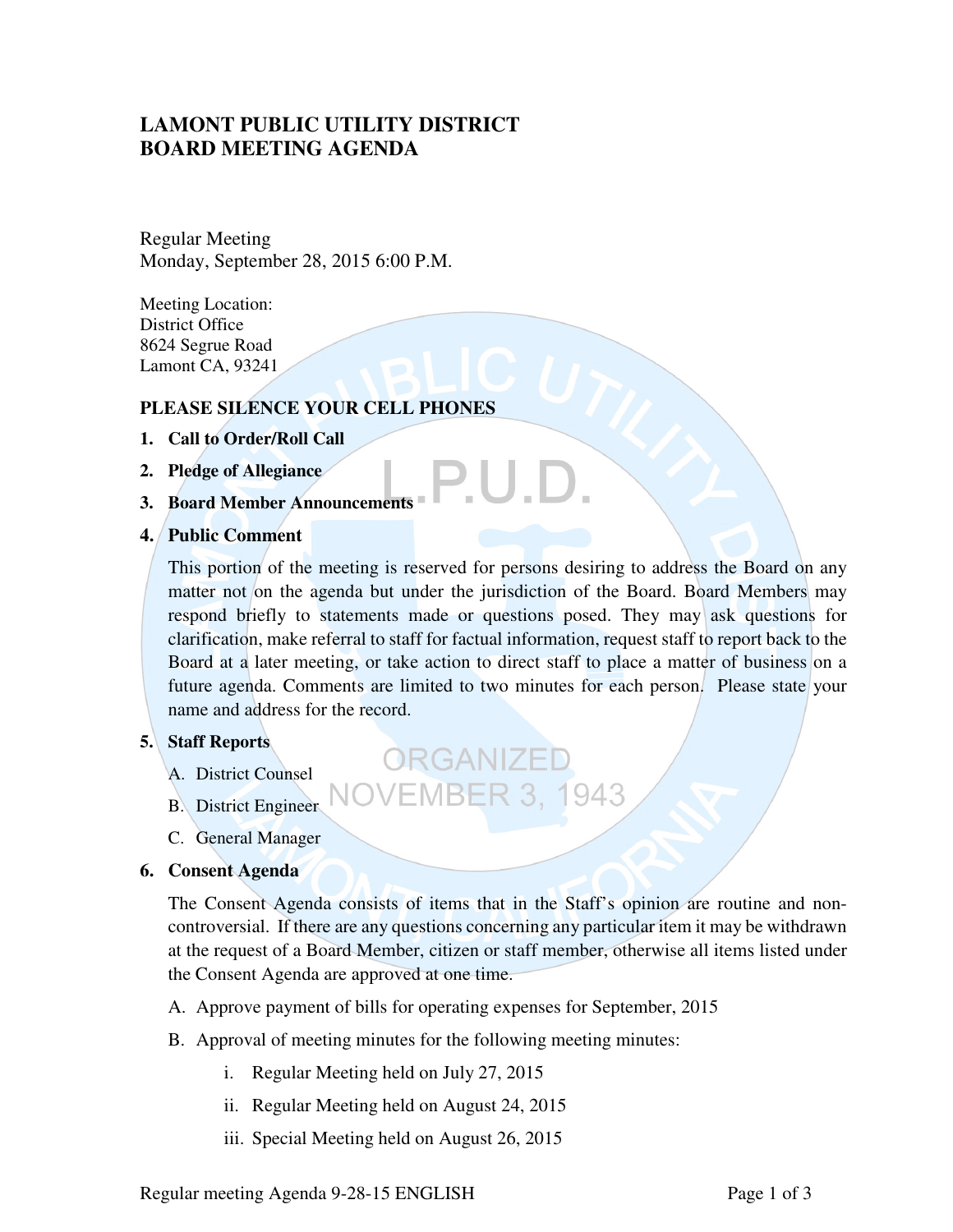# **LAMONT PUBLIC UTILITY DISTRICT BOARD MEETING AGENDA**

Regular Meeting Monday, September 28, 2015 6:00 P.M.

Meeting Location: District Office 8624 Segrue Road Lamont CA, 93241

## **PLEASE SILENCE YOUR CELL PHONES**

- **1. Call to Order/Roll Call**
- **2. Pledge of Allegiance**
- **3. Board Member Announcements**
- **4. Public Comment**

This portion of the meeting is reserved for persons desiring to address the Board on any matter not on the agenda but under the jurisdiction of the Board. Board Members may respond briefly to statements made or questions posed. They may ask questions for clarification, make referral to staff for factual information, request staff to report back to the Board at a later meeting, or take action to direct staff to place a matter of business on a future agenda. Comments are limited to two minutes for each person. Please state your name and address for the record.

ORGANIZEI

- **5. Staff Reports** 
	- A. District Counsel
	- B. District Engineer
	- C. General Manager
- **6. Consent Agenda**

The Consent Agenda consists of items that in the Staff's opinion are routine and noncontroversial. If there are any questions concerning any particular item it may be withdrawn at the request of a Board Member, citizen or staff member, otherwise all items listed under the Consent Agenda are approved at one time.

**/EMBER 3, 1943** 

- A. Approve payment of bills for operating expenses for September, 2015
- B. Approval of meeting minutes for the following meeting minutes:
	- i. Regular Meeting held on July 27, 2015
	- ii. Regular Meeting held on August 24, 2015
	- iii. Special Meeting held on August 26, 2015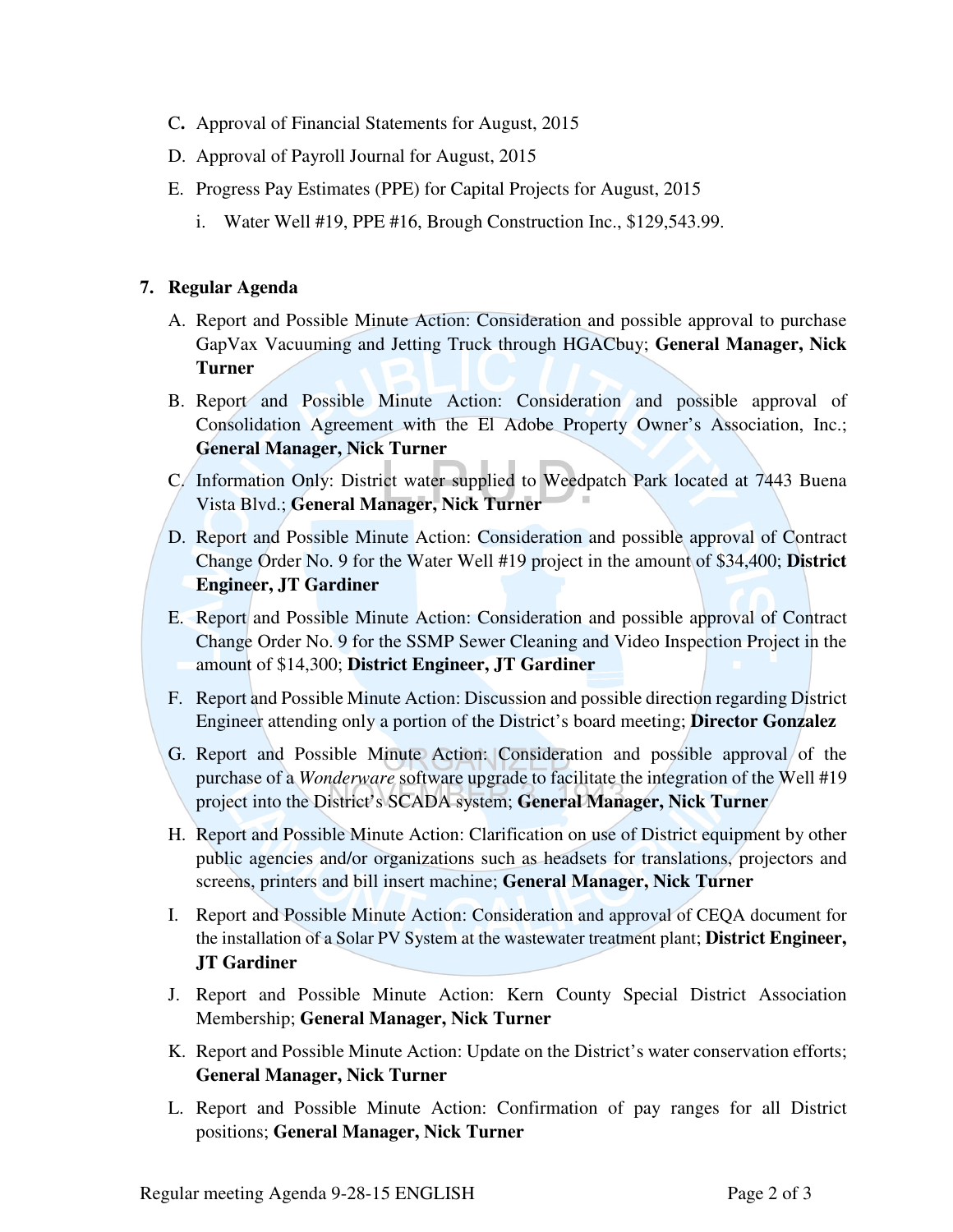- C**.** Approval of Financial Statements for August, 2015
- D. Approval of Payroll Journal for August, 2015
- E. Progress Pay Estimates (PPE) for Capital Projects for August, 2015
	- i. Water Well #19, PPE #16, Brough Construction Inc., \$129,543.99.

### **7. Regular Agenda**

- A. Report and Possible Minute Action: Consideration and possible approval to purchase GapVax Vacuuming and Jetting Truck through HGACbuy; **General Manager, Nick Turner**
- B. Report and Possible Minute Action: Consideration and possible approval of Consolidation Agreement with the El Adobe Property Owner's Association, Inc.; **General Manager, Nick Turner**
- C. Information Only: District water supplied to Weedpatch Park located at 7443 Buena Vista Blvd.; **General Manager, Nick Turner**
- D. Report and Possible Minute Action: Consideration and possible approval of Contract Change Order No. 9 for the Water Well #19 project in the amount of \$34,400; **District Engineer, JT Gardiner**
- E. Report and Possible Minute Action: Consideration and possible approval of Contract Change Order No. 9 for the SSMP Sewer Cleaning and Video Inspection Project in the amount of \$14,300; **District Engineer, JT Gardiner**
- F. Report and Possible Minute Action: Discussion and possible direction regarding District Engineer attending only a portion of the District's board meeting; **Director Gonzalez**
- G. Report and Possible Minute Action: Consideration and possible approval of the purchase of a *Wonderware* software upgrade to facilitate the integration of the Well #19 project into the District's SCADA system; **General Manager, Nick Turner**
- H. Report and Possible Minute Action: Clarification on use of District equipment by other public agencies and/or organizations such as headsets for translations, projectors and screens, printers and bill insert machine; **General Manager, Nick Turner**
- I. Report and Possible Minute Action: Consideration and approval of CEQA document for the installation of a Solar PV System at the wastewater treatment plant; **District Engineer, JT Gardiner**
- J. Report and Possible Minute Action: Kern County Special District Association Membership; **General Manager, Nick Turner**
- K. Report and Possible Minute Action: Update on the District's water conservation efforts; **General Manager, Nick Turner**
- L. Report and Possible Minute Action: Confirmation of pay ranges for all District positions; **General Manager, Nick Turner**